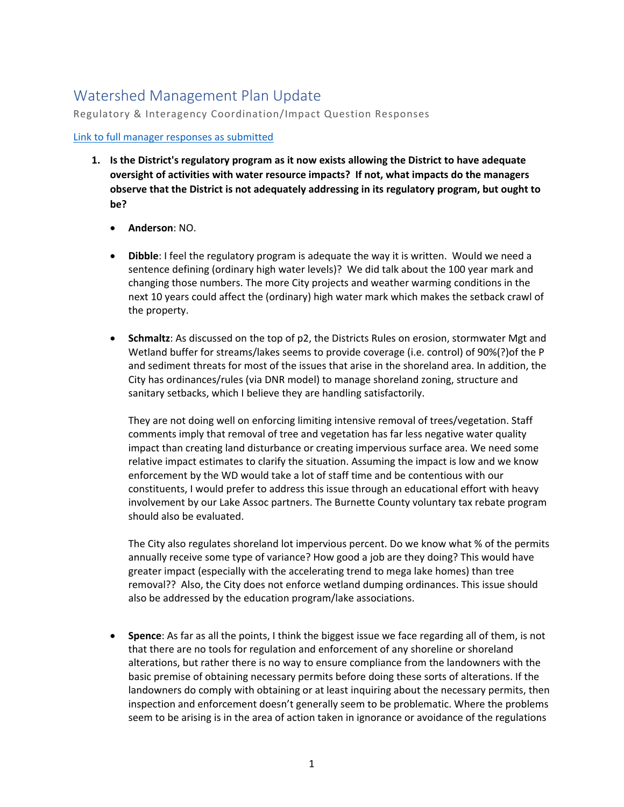## Watershed Management Plan Update

Regulatory & Interagency Coordination/Impact Question Responses

## [Link to full manager responses as submitted](https://www.clflwd.org/documents/Agendaitem5a-1-MemoWMPUpdate.pdf)

- **1. Is the District's regulatory program as it now exists allowing the District to have adequate oversight of activities with water resource impacts? If not, what impacts do the managers observe that the District is not adequately addressing in its regulatory program, but ought to be?**
	- **Anderson**: NO.
	- **Dibble**: I feel the regulatory program is adequate the way it is written. Would we need a sentence defining (ordinary high water levels)? We did talk about the 100 year mark and changing those numbers. The more City projects and weather warming conditions in the next 10 years could affect the (ordinary) high water mark which makes the setback crawl of the property.
	- **Schmaltz**: As discussed on the top of p2, the Districts Rules on erosion, stormwater Mgt and Wetland buffer for streams/lakes seems to provide coverage (i.e. control) of 90%(?)of the P and sediment threats for most of the issues that arise in the shoreland area. In addition, the City has ordinances/rules (via DNR model) to manage shoreland zoning, structure and sanitary setbacks, which I believe they are handling satisfactorily.

They are not doing well on enforcing limiting intensive removal of trees/vegetation. Staff comments imply that removal of tree and vegetation has far less negative water quality impact than creating land disturbance or creating impervious surface area. We need some relative impact estimates to clarify the situation. Assuming the impact is low and we know enforcement by the WD would take a lot of staff time and be contentious with our constituents, I would prefer to address this issue through an educational effort with heavy involvement by our Lake Assoc partners. The Burnette County voluntary tax rebate program should also be evaluated.

The City also regulates shoreland lot impervious percent. Do we know what % of the permits annually receive some type of variance? How good a job are they doing? This would have greater impact (especially with the accelerating trend to mega lake homes) than tree removal?? Also, the City does not enforce wetland dumping ordinances. This issue should also be addressed by the education program/lake associations.

• **Spence**: As far as all the points, I think the biggest issue we face regarding all of them, is not that there are no tools for regulation and enforcement of any shoreline or shoreland alterations, but rather there is no way to ensure compliance from the landowners with the basic premise of obtaining necessary permits before doing these sorts of alterations. If the landowners do comply with obtaining or at least inquiring about the necessary permits, then inspection and enforcement doesn't generally seem to be problematic. Where the problems seem to be arising is in the area of action taken in ignorance or avoidance of the regulations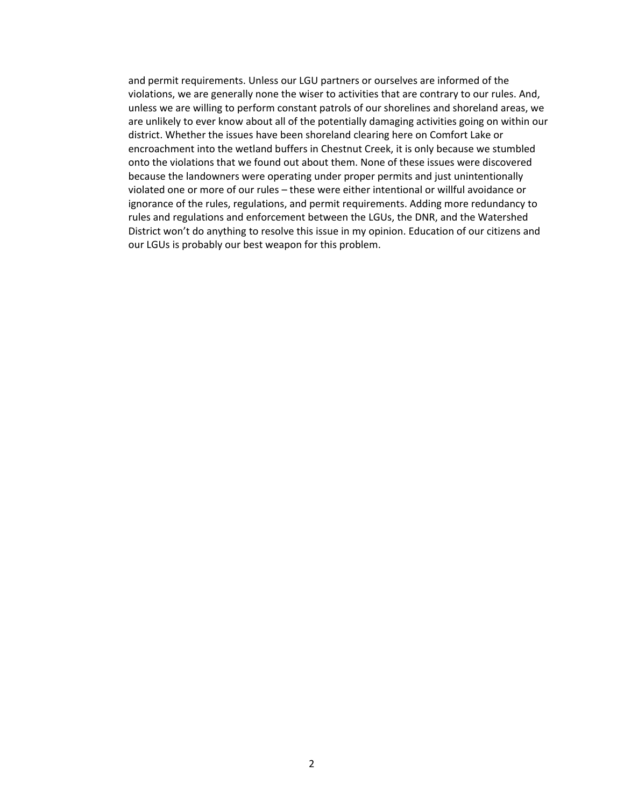and permit requirements. Unless our LGU partners or ourselves are informed of the violations, we are generally none the wiser to activities that are contrary to our rules. And, unless we are willing to perform constant patrols of our shorelines and shoreland areas, we are unlikely to ever know about all of the potentially damaging activities going on within our district. Whether the issues have been shoreland clearing here on Comfort Lake or encroachment into the wetland buffers in Chestnut Creek, it is only because we stumbled onto the violations that we found out about them. None of these issues were discovered because the landowners were operating under proper permits and just unintentionally violated one or more of our rules – these were either intentional or willful avoidance or ignorance of the rules, regulations, and permit requirements. Adding more redundancy to rules and regulations and enforcement between the LGUs, the DNR, and the Watershed District won't do anything to resolve this issue in my opinion. Education of our citizens and our LGUs is probably our best weapon for this problem.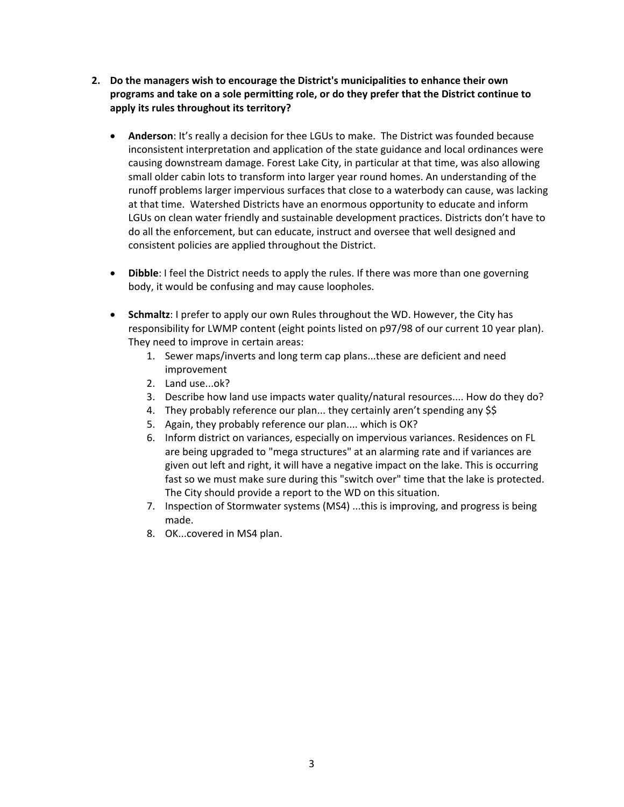- **2. Do the managers wish to encourage the District's municipalities to enhance their own programs and take on a sole permitting role, or do they prefer that the District continue to apply its rules throughout its territory?**
	- **Anderson**: It's really a decision for thee LGUs to make. The District was founded because inconsistent interpretation and application of the state guidance and local ordinances were causing downstream damage. Forest Lake City, in particular at that time, was also allowing small older cabin lots to transform into larger year round homes. An understanding of the runoff problems larger impervious surfaces that close to a waterbody can cause, was lacking at that time. Watershed Districts have an enormous opportunity to educate and inform LGUs on clean water friendly and sustainable development practices. Districts don't have to do all the enforcement, but can educate, instruct and oversee that well designed and consistent policies are applied throughout the District.
	- **Dibble**: I feel the District needs to apply the rules. If there was more than one governing body, it would be confusing and may cause loopholes.
	- **Schmaltz**: I prefer to apply our own Rules throughout the WD. However, the City has responsibility for LWMP content (eight points listed on p97/98 of our current 10 year plan). They need to improve in certain areas:
		- 1. Sewer maps/inverts and long term cap plans...these are deficient and need improvement
		- 2. Land use...ok?
		- 3. Describe how land use impacts water quality/natural resources.... How do they do?
		- 4. They probably reference our plan... they certainly aren't spending any \$\$
		- 5. Again, they probably reference our plan.... which is OK?
		- 6. Inform district on variances, especially on impervious variances. Residences on FL are being upgraded to "mega structures" at an alarming rate and if variances are given out left and right, it will have a negative impact on the lake. This is occurring fast so we must make sure during this "switch over" time that the lake is protected. The City should provide a report to the WD on this situation.
		- 7. Inspection of Stormwater systems (MS4) ...this is improving, and progress is being made.
		- 8. OK...covered in MS4 plan.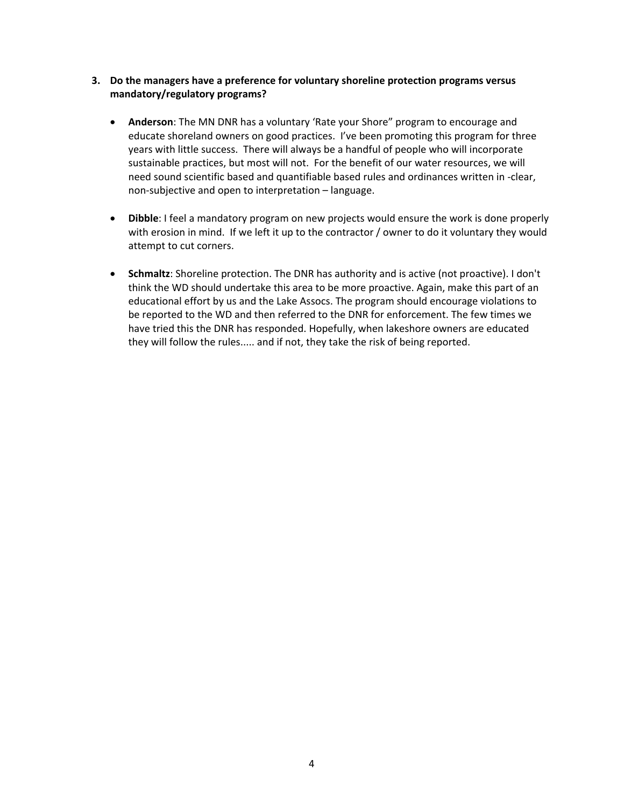- **3. Do the managers have a preference for voluntary shoreline protection programs versus mandatory/regulatory programs?**
	- **Anderson**: The MN DNR has a voluntary 'Rate your Shore" program to encourage and educate shoreland owners on good practices. I've been promoting this program for three years with little success. There will always be a handful of people who will incorporate sustainable practices, but most will not. For the benefit of our water resources, we will need sound scientific based and quantifiable based rules and ordinances written in -clear, non-subjective and open to interpretation – language.
	- **Dibble**: I feel a mandatory program on new projects would ensure the work is done properly with erosion in mind. If we left it up to the contractor / owner to do it voluntary they would attempt to cut corners.
	- **Schmaltz**: Shoreline protection. The DNR has authority and is active (not proactive). I don't think the WD should undertake this area to be more proactive. Again, make this part of an educational effort by us and the Lake Assocs. The program should encourage violations to be reported to the WD and then referred to the DNR for enforcement. The few times we have tried this the DNR has responded. Hopefully, when lakeshore owners are educated they will follow the rules..... and if not, they take the risk of being reported.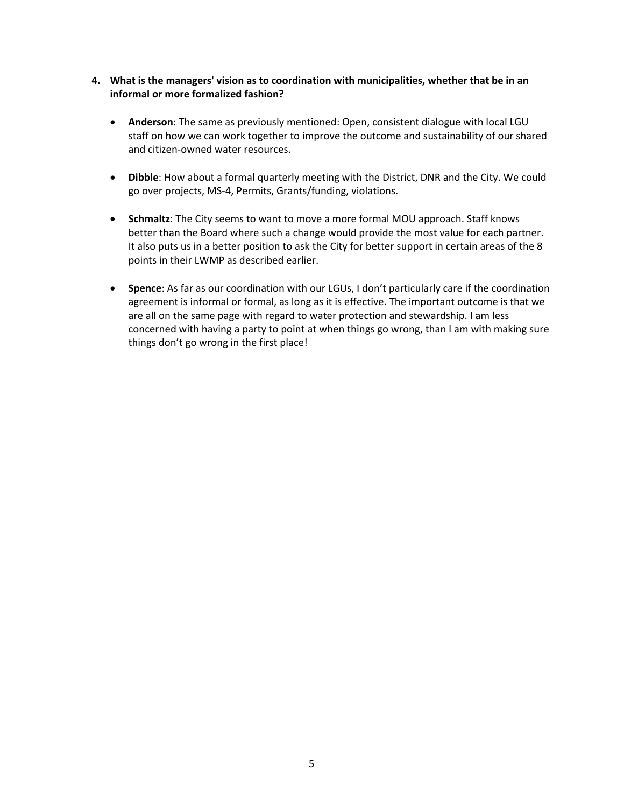- **4. What is the managers' vision as to coordination with municipalities, whether that be in an informal or more formalized fashion?**
	- **Anderson**: The same as previously mentioned: Open, consistent dialogue with local LGU staff on how we can work together to improve the outcome and sustainability of our shared and citizen-owned water resources.
	- **Dibble**: How about a formal quarterly meeting with the District, DNR and the City. We could go over projects, MS-4, Permits, Grants/funding, violations.
	- **Schmaltz**: The City seems to want to move a more formal MOU approach. Staff knows better than the Board where such a change would provide the most value for each partner. It also puts us in a better position to ask the City for better support in certain areas of the 8 points in their LWMP as described earlier.
	- **Spence**: As far as our coordination with our LGUs, I don't particularly care if the coordination agreement is informal or formal, as long as it is effective. The important outcome is that we are all on the same page with regard to water protection and stewardship. I am less concerned with having a party to point at when things go wrong, than I am with making sure things don't go wrong in the first place!